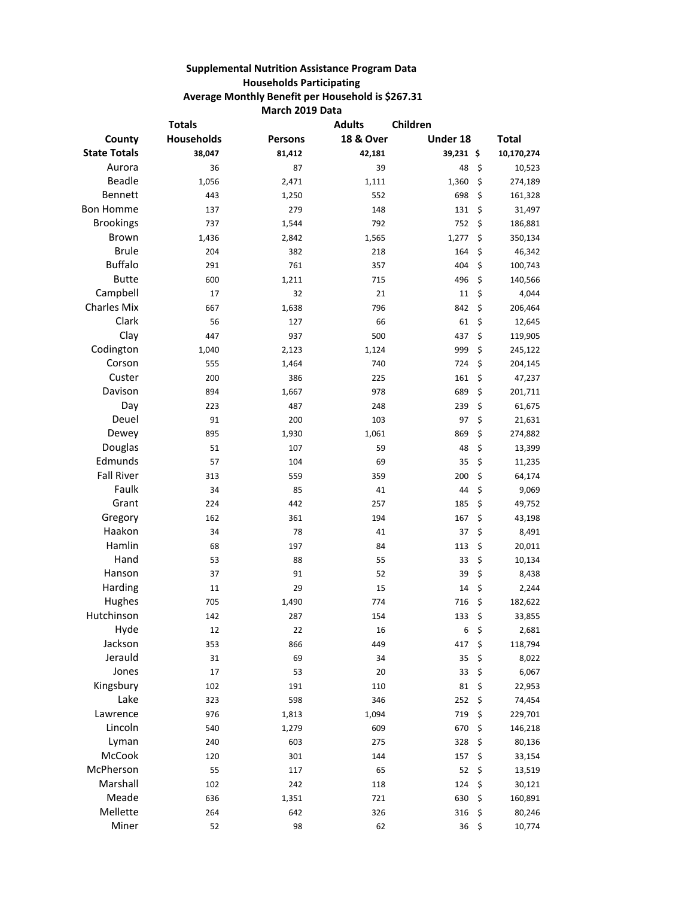## **Supplemental Nutrition Assistance Program Data Households Participating Average Monthly Benefit per Household is \$267.31 March 2019 Data**

|                     | <b>Totals</b> |                | <b>Adults</b>        | Children         |               |
|---------------------|---------------|----------------|----------------------|------------------|---------------|
| County              | Households    | <b>Persons</b> | <b>18 &amp; Over</b> | Under 18         | <b>Total</b>  |
| <b>State Totals</b> | 38,047        | 81,412         | 42,181               | 39,231 \$        | 10,170,274    |
| Aurora              | 36            | 87             | 39                   | 48               | \$<br>10,523  |
| <b>Beadle</b>       | 1,056         | 2,471          | 1,111                | 1,360            | \$<br>274,189 |
| <b>Bennett</b>      | 443           | 1,250          | 552                  | 698              | \$<br>161,328 |
| <b>Bon Homme</b>    | 137           | 279            | 148                  | 131              | \$<br>31,497  |
| <b>Brookings</b>    | 737           | 1,544          | 792                  | 752              | \$<br>186,881 |
| Brown               | 1,436         | 2,842          | 1,565                | 1,277            | \$<br>350,134 |
| <b>Brule</b>        | 204           | 382            | 218                  | 164              | \$<br>46,342  |
| <b>Buffalo</b>      | 291           | 761            | 357                  | 404              | \$<br>100,743 |
| <b>Butte</b>        | 600           | 1,211          | 715                  | 496              | \$<br>140,566 |
| Campbell            | 17            | 32             | 21                   | 11               | \$<br>4,044   |
| <b>Charles Mix</b>  | 667           | 1,638          | 796                  | 842              | \$<br>206,464 |
| Clark               | 56            | 127            | 66                   | 61               | \$<br>12,645  |
| Clay                | 447           | 937            | 500                  | 437              | \$<br>119,905 |
| Codington           | 1,040         | 2,123          | 1,124                | 999              | \$<br>245,122 |
| Corson              | 555           | 1,464          | 740                  | 724              | \$<br>204,145 |
| Custer              | 200           | 386            | 225                  | 161              | \$<br>47,237  |
| Davison             | 894           | 1,667          | 978                  | 689              | \$<br>201,711 |
| Day                 | 223           | 487            | 248                  | 239              | \$<br>61,675  |
| Deuel               | 91            | 200            | 103                  | 97               | \$<br>21,631  |
| Dewey               | 895           | 1,930          | 1,061                | 869              | \$<br>274,882 |
| Douglas             | 51            | 107            | 59                   | 48               | \$<br>13,399  |
| Edmunds             | 57            | 104            | 69                   | 35               | \$<br>11,235  |
| <b>Fall River</b>   | 313           | 559            | 359                  | 200              | \$<br>64,174  |
| Faulk               | 34            | 85             | 41                   | 44               | \$<br>9,069   |
| Grant               | 224           | 442            | 257                  | 185              | \$<br>49,752  |
| Gregory             | 162           | 361            | 194                  | 167              | \$<br>43,198  |
| Haakon              | 34            | 78             | 41                   | 37               | \$<br>8,491   |
| Hamlin              | 68            | 197            | 84                   | 113              | \$<br>20,011  |
| Hand                | 53            | 88             | 55                   | 33               | \$<br>10,134  |
| Hanson              | 37            | 91             | 52                   | 39               | \$<br>8,438   |
| Harding             | 11            | 29             | 15                   | 14               | \$<br>2,244   |
| Hughes              | 705           | 1,490          | 774                  | 716              | \$<br>182,622 |
| Hutchinson          | 142           | 287            | 154                  | 133              | \$<br>33,855  |
| Hyde                | 12            | 22             | 16                   | 6                | \$<br>2,681   |
| Jackson             | 353           | 866            | 449                  | 417              | \$<br>118,794 |
| Jerauld             | 31            | 69             | 34                   | 35               | \$<br>8,022   |
| Jones               | 17            | 53             | 20                   | 33               | \$<br>6,067   |
| Kingsbury           | 102           | 191            | 110                  | 81               | \$<br>22,953  |
| Lake                | 323           | 598            | 346                  | 252              | \$<br>74,454  |
| Lawrence            | 976           | 1,813          | 1,094                | 719              | \$<br>229,701 |
| Lincoln             | 540           | 1,279          | 609                  | 670              | \$<br>146,218 |
| Lyman               | 240           | 603            | 275                  | 328              | \$<br>80,136  |
| McCook              | 120           | 301            | 144                  | 157              | \$<br>33,154  |
| McPherson           | 55            | 117            | 65                   | 52               | \$<br>13,519  |
| Marshall            | 102           | 242            | 118                  | 124              | \$<br>30,121  |
| Meade               | 636           | 1,351          | 721                  | 630              | \$<br>160,891 |
| Mellette            | 264           | 642            | 326                  | 316              | \$<br>80,246  |
| Miner               | 52            | 98             | 62                   | $36 \frac{2}{3}$ | 10,774        |